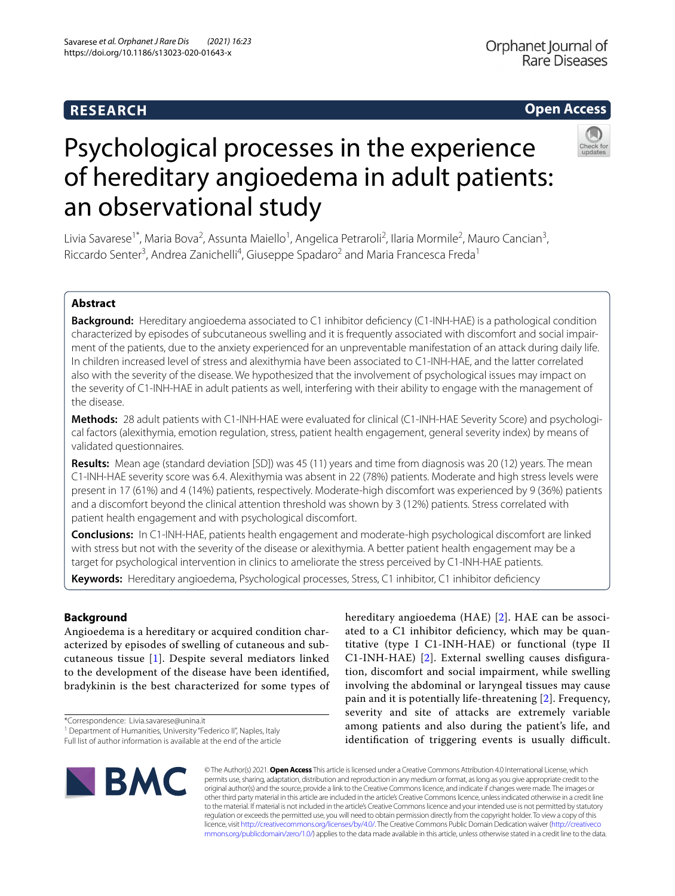## **RESEARCH**

## **Open Access**



# Psychological processes in the experience of hereditary angioedema in adult patients: an observational study

Livia Savarese<sup>1\*</sup>, Maria Bova<sup>2</sup>, Assunta Maiello<sup>1</sup>, Angelica Petraroli<sup>2</sup>, Ilaria Mormile<sup>2</sup>, Mauro Cancian<sup>3</sup>, Riccardo Senter<sup>3</sup>, Andrea Zanichelli<sup>4</sup>, Giuseppe Spadaro<sup>2</sup> and Maria Francesca Freda<sup>1</sup>

### **Abstract**

**Background:** Hereditary angioedema associated to C1 inhibitor defciency (C1-INH-HAE) is a pathological condition characterized by episodes of subcutaneous swelling and it is frequently associated with discomfort and social impairment of the patients, due to the anxiety experienced for an unpreventable manifestation of an attack during daily life. In children increased level of stress and alexithymia have been associated to C1-INH-HAE, and the latter correlated also with the severity of the disease. We hypothesized that the involvement of psychological issues may impact on the severity of C1-INH-HAE in adult patients as well, interfering with their ability to engage with the management of the disease.

**Methods:** 28 adult patients with C1-INH-HAE were evaluated for clinical (C1-INH-HAE Severity Score) and psychological factors (alexithymia, emotion regulation, stress, patient health engagement, general severity index) by means of validated questionnaires.

**Results:** Mean age (standard deviation [SD]) was 45 (11) years and time from diagnosis was 20 (12) years. The mean C1-INH-HAE severity score was 6.4. Alexithymia was absent in 22 (78%) patients. Moderate and high stress levels were present in 17 (61%) and 4 (14%) patients, respectively. Moderate-high discomfort was experienced by 9 (36%) patients and a discomfort beyond the clinical attention threshold was shown by 3 (12%) patients. Stress correlated with patient health engagement and with psychological discomfort.

**Conclusions:** In C1-INH-HAE, patients health engagement and moderate-high psychological discomfort are linked with stress but not with the severity of the disease or alexithymia. A better patient health engagement may be a target for psychological intervention in clinics to ameliorate the stress perceived by C1-INH-HAE patients.

**Keywords:** Hereditary angioedema, Psychological processes, Stress, C1 inhibitor, C1 inhibitor defciency

## **Background**

Angioedema is a hereditary or acquired condition characterized by episodes of swelling of cutaneous and subcutaneous tissue [[1\]](#page-5-0). Despite several mediators linked to the development of the disease have been identifed, bradykinin is the best characterized for some types of

\*Correspondence: Livia.savarese@unina.it

hereditary angioedema (HAE) [[2](#page-5-1)]. HAE can be associated to a C1 inhibitor defciency, which may be quantitative (type I C1-INH-HAE) or functional (type II C1-INH-HAE) [\[2](#page-5-1)]. External swelling causes disfguration, discomfort and social impairment, while swelling involving the abdominal or laryngeal tissues may cause pain and it is potentially life-threatening [[2\]](#page-5-1). Frequency, severity and site of attacks are extremely variable among patients and also during the patient's life, and identification of triggering events is usually difficult.



© The Author(s) 2021. **Open Access** This article is licensed under a Creative Commons Attribution 4.0 International License, which permits use, sharing, adaptation, distribution and reproduction in any medium or format, as long as you give appropriate credit to the original author(s) and the source, provide a link to the Creative Commons licence, and indicate if changes were made. The images or other third party material in this article are included in the article's Creative Commons licence, unless indicated otherwise in a credit line to the material. If material is not included in the article's Creative Commons licence and your intended use is not permitted by statutory regulation or exceeds the permitted use, you will need to obtain permission directly from the copyright holder. To view a copy of this licence, visit [http://creativecommons.org/licenses/by/4.0/.](http://creativecommons.org/licenses/by/4.0/) The Creative Commons Public Domain Dedication waiver ([http://creativeco](http://creativecommons.org/publicdomain/zero/1.0/) [mmons.org/publicdomain/zero/1.0/](http://creativecommons.org/publicdomain/zero/1.0/)) applies to the data made available in this article, unless otherwise stated in a credit line to the data.

<sup>&</sup>lt;sup>1</sup> Department of Humanities, University "Federico II", Naples, Italy

Full list of author information is available at the end of the article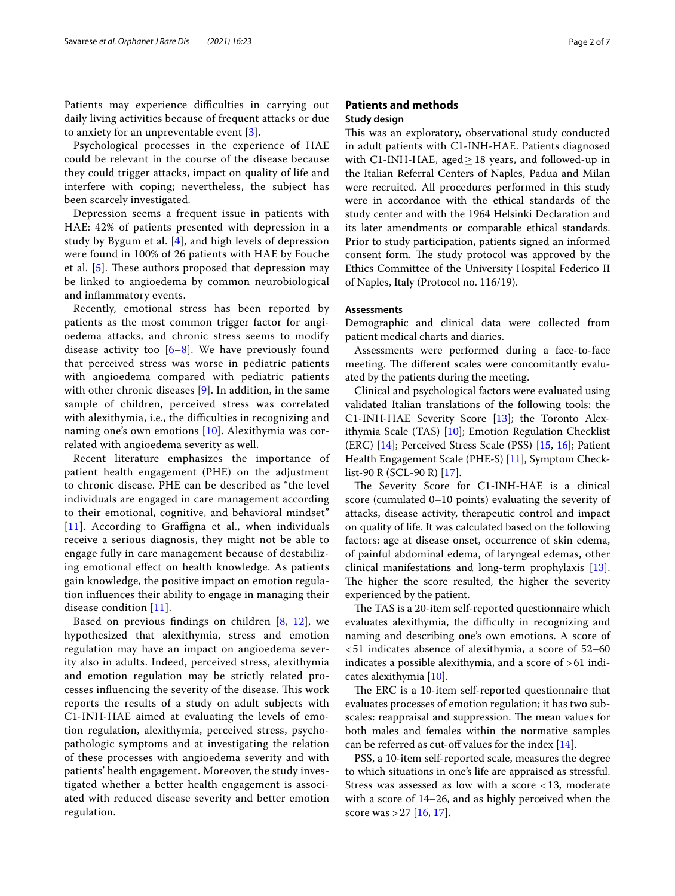Patients may experience difficulties in carrying out daily living activities because of frequent attacks or due to anxiety for an unpreventable event [\[3\]](#page-5-2).

Psychological processes in the experience of HAE could be relevant in the course of the disease because they could trigger attacks, impact on quality of life and interfere with coping; nevertheless, the subject has been scarcely investigated.

Depression seems a frequent issue in patients with HAE: 42% of patients presented with depression in a study by Bygum et al. [[4](#page-5-3)], and high levels of depression were found in 100% of 26 patients with HAE by Fouche et al.  $[5]$  $[5]$ . These authors proposed that depression may be linked to angioedema by common neurobiological and infammatory events.

Recently, emotional stress has been reported by patients as the most common trigger factor for angioedema attacks, and chronic stress seems to modify disease activity too  $[6-8]$  $[6-8]$  $[6-8]$ . We have previously found that perceived stress was worse in pediatric patients with angioedema compared with pediatric patients with other chronic diseases [[9\]](#page-5-7). In addition, in the same sample of children, perceived stress was correlated with alexithymia, i.e., the difficulties in recognizing and naming one's own emotions [[10\]](#page-5-8). Alexithymia was correlated with angioedema severity as well.

Recent literature emphasizes the importance of patient health engagement (PHE) on the adjustment to chronic disease. PHE can be described as "the level individuals are engaged in care management according to their emotional, cognitive, and behavioral mindset"  $[11]$  $[11]$  $[11]$ . According to Graffigna et al., when individuals receive a serious diagnosis, they might not be able to engage fully in care management because of destabilizing emotional efect on health knowledge. As patients gain knowledge, the positive impact on emotion regulation infuences their ability to engage in managing their disease condition [[11\]](#page-5-9).

Based on previous fndings on children [[8,](#page-5-6) [12\]](#page-5-10), we hypothesized that alexithymia, stress and emotion regulation may have an impact on angioedema severity also in adults. Indeed, perceived stress, alexithymia and emotion regulation may be strictly related processes influencing the severity of the disease. This work reports the results of a study on adult subjects with C1-INH-HAE aimed at evaluating the levels of emotion regulation, alexithymia, perceived stress, psychopathologic symptoms and at investigating the relation of these processes with angioedema severity and with patients' health engagement. Moreover, the study investigated whether a better health engagement is associated with reduced disease severity and better emotion regulation.

#### **Patients and methods Study design**

This was an exploratory, observational study conducted in adult patients with C1-INH-HAE. Patients diagnosed with C1-INH-HAE, aged $\geq$  18 years, and followed-up in the Italian Referral Centers of Naples, Padua and Milan were recruited. All procedures performed in this study were in accordance with the ethical standards of the study center and with the 1964 Helsinki Declaration and its later amendments or comparable ethical standards. Prior to study participation, patients signed an informed consent form. The study protocol was approved by the Ethics Committee of the University Hospital Federico II of Naples, Italy (Protocol no. 116/19).

#### **Assessments**

Demographic and clinical data were collected from patient medical charts and diaries.

Assessments were performed during a face-to-face meeting. The different scales were concomitantly evaluated by the patients during the meeting.

Clinical and psychological factors were evaluated using validated Italian translations of the following tools: the C1-INH-HAE Severity Score [\[13\]](#page-5-11); the Toronto Alexithymia Scale (TAS) [\[10\]](#page-5-8); Emotion Regulation Checklist (ERC) [[14\]](#page-5-12); Perceived Stress Scale (PSS) [\[15](#page-5-13), [16](#page-5-14)]; Patient Health Engagement Scale (PHE-S) [[11\]](#page-5-9), Symptom Checklist-90 R (SCL-90 R) [\[17\]](#page-5-15).

The Severity Score for C1-INH-HAE is a clinical score (cumulated 0–10 points) evaluating the severity of attacks, disease activity, therapeutic control and impact on quality of life. It was calculated based on the following factors: age at disease onset, occurrence of skin edema, of painful abdominal edema, of laryngeal edemas, other clinical manifestations and long-term prophylaxis [\[13](#page-5-11)]. The higher the score resulted, the higher the severity experienced by the patient.

The TAS is a 20-item self-reported questionnaire which evaluates alexithymia, the difficulty in recognizing and naming and describing one's own emotions. A score of <51 indicates absence of alexithymia, a score of 52–60 indicates a possible alexithymia, and a score of >61 indicates alexithymia [\[10](#page-5-8)].

The ERC is a 10-item self-reported questionnaire that evaluates processes of emotion regulation; it has two subscales: reappraisal and suppression. The mean values for both males and females within the normative samples can be referred as cut-off values for the index  $[14]$  $[14]$ .

PSS, a 10-item self-reported scale, measures the degree to which situations in one's life are appraised as stressful. Stress was assessed as low with a score <13, moderate with a score of 14–26, and as highly perceived when the score was  $>$  27 [\[16](#page-5-14), [17](#page-5-15)].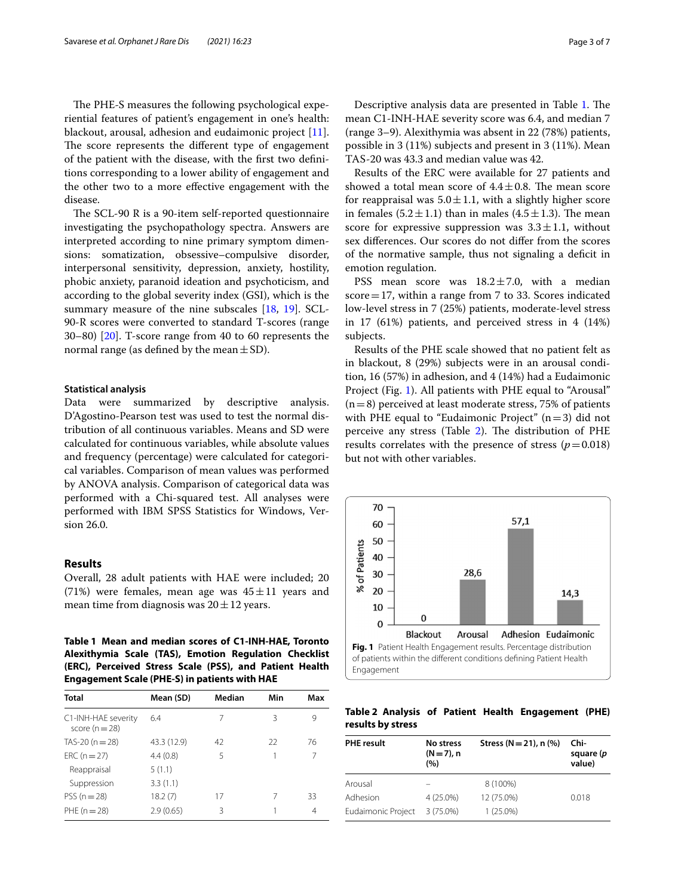The PHE-S measures the following psychological experiential features of patient's engagement in one's health: blackout, arousal, adhesion and eudaimonic project [\[11](#page-5-9)]. The score represents the different type of engagement of the patient with the disease, with the frst two defnitions corresponding to a lower ability of engagement and the other two to a more efective engagement with the disease.

The SCL-90 R is a 90-item self-reported questionnaire investigating the psychopathology spectra. Answers are interpreted according to nine primary symptom dimensions: somatization, obsessive–compulsive disorder, interpersonal sensitivity, depression, anxiety, hostility, phobic anxiety, paranoid ideation and psychoticism, and according to the global severity index (GSI), which is the summary measure of the nine subscales [\[18,](#page-5-16) [19](#page-5-17)]. SCL-90-R scores were converted to standard T-scores (range 30–80) [[20\]](#page-6-0). T-score range from 40 to 60 represents the normal range (as defined by the mean  $\pm$  SD).

#### **Statistical analysis**

Data were summarized by descriptive analysis. D'Agostino-Pearson test was used to test the normal distribution of all continuous variables. Means and SD were calculated for continuous variables, while absolute values and frequency (percentage) were calculated for categorical variables. Comparison of mean values was performed by ANOVA analysis. Comparison of categorical data was performed with a Chi-squared test. All analyses were performed with IBM SPSS Statistics for Windows, Version 26.0.

#### **Results**

Overall, 28 adult patients with HAE were included; 20 (71%) were females, mean age was  $45 \pm 11$  years and mean time from diagnosis was  $20 \pm 12$  years.

<span id="page-2-0"></span>**Table 1 Mean and median scores of C1-INH-HAE, Toronto Alexithymia Scale (TAS), Emotion Regulation Checklist (ERC), Perceived Stress Scale (PSS), and Patient Health Engagement Scale (PHE-S) in patients with HAE**

| <b>Total</b>                          | Mean (SD)   | Median | Min | Max            |
|---------------------------------------|-------------|--------|-----|----------------|
| C1-INH-HAE severity<br>score $(n=28)$ | 6.4         | 7      | 3   | 9              |
| TAS-20 ( $n = 28$ )                   | 43.3 (12.9) | 42     | 22  | 76             |
| $ERC (n = 27)$                        | 4.4(0.8)    | 5      |     | 7              |
| Reappraisal                           | 5(1.1)      |        |     |                |
| Suppression                           | 3.3(1.1)    |        |     |                |
| $PSS (n = 28)$                        | 18.2(7)     | 17     | 7   | 33             |
| PHE $(n=28)$                          | 2.9(0.65)   | 3      |     | $\overline{4}$ |

Descriptive analysis data are presented in Table [1.](#page-2-0) The mean C1-INH-HAE severity score was 6.4, and median 7 (range 3–9). Alexithymia was absent in 22 (78%) patients, possible in 3 (11%) subjects and present in 3 (11%). Mean TAS-20 was 43.3 and median value was 42.

Results of the ERC were available for 27 patients and showed a total mean score of  $4.4 \pm 0.8$ . The mean score for reappraisal was  $5.0 \pm 1.1$ , with a slightly higher score in females  $(5.2 \pm 1.1)$  than in males  $(4.5 \pm 1.3)$ . The mean score for expressive suppression was  $3.3 \pm 1.1$ , without sex diferences. Our scores do not difer from the scores of the normative sample, thus not signaling a defcit in emotion regulation.

PSS mean score was  $18.2 \pm 7.0$ , with a median  $score=17$ , within a range from 7 to 33. Scores indicated low-level stress in 7 (25%) patients, moderate-level stress in 17 (61%) patients, and perceived stress in 4 (14%) subjects.

Results of the PHE scale showed that no patient felt as in blackout, 8 (29%) subjects were in an arousal condition, 16 (57%) in adhesion, and 4 (14%) had a Eudaimonic Project (Fig. [1\)](#page-2-1). All patients with PHE equal to "Arousal"  $(n=8)$  perceived at least moderate stress, 75% of patients with PHE equal to "Eudaimonic Project"  $(n=3)$  did not perceive any stress (Table [2](#page-2-2)). The distribution of PHE results correlates with the presence of stress  $(p=0.018)$ but not with other variables.



<span id="page-2-2"></span><span id="page-2-1"></span>**Table 2 Analysis of Patient Health Engagement (PHE) results by stress**

| <b>PHE result</b>  | No stress<br>$(N=7)$ , n<br>(%) | Stress ( $N = 21$ ), n (%) | Chi-<br>square (p<br>value) |
|--------------------|---------------------------------|----------------------------|-----------------------------|
| Arousal            |                                 | 8 (100%)                   |                             |
| Adhesion           | 4 (25.0%)                       | 12 (75.0%)                 | 0.018                       |
| Eudaimonic Project | $3(75.0\%)$                     | $1(25.0\%)$                |                             |
|                    |                                 |                            |                             |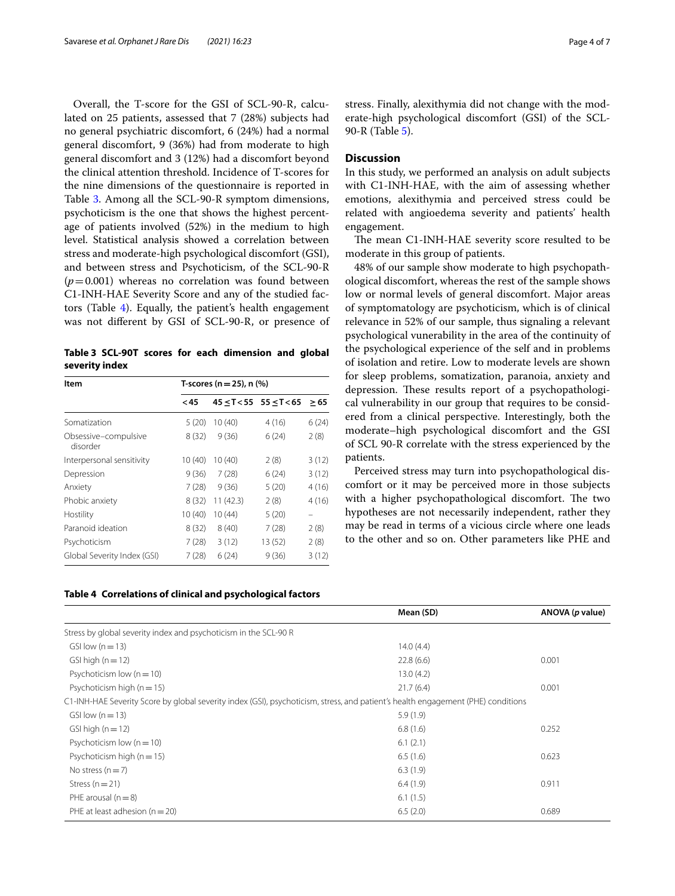Overall, the T-score for the GSI of SCL-90-R, calculated on 25 patients, assessed that 7 (28%) subjects had no general psychiatric discomfort, 6 (24%) had a normal general discomfort, 9 (36%) had from moderate to high general discomfort and 3 (12%) had a discomfort beyond the clinical attention threshold. Incidence of T-scores for the nine dimensions of the questionnaire is reported in Table [3](#page-3-0). Among all the SCL-90-R symptom dimensions, psychoticism is the one that shows the highest percentage of patients involved (52%) in the medium to high level. Statistical analysis showed a correlation between stress and moderate-high psychological discomfort (GSI), and between stress and Psychoticism, of the SCL-90-R  $(p=0.001)$  whereas no correlation was found between C1-INH-HAE Severity Score and any of the studied factors (Table [4](#page-3-1)). Equally, the patient's health engagement was not diferent by GSI of SCL-90-R, or presence of

<span id="page-3-0"></span>**Table 3 SCL-90T scores for each dimension and global severity index**

| Item                             | T-scores ( $n = 25$ ), n (%) |          |                                 |       |  |
|----------------------------------|------------------------------|----------|---------------------------------|-------|--|
|                                  | $45$                         |          | $45 \le T < 55$ 55 $\le T < 65$ | >65   |  |
| Somatization                     | 5(20)                        | 10(40)   | 4(16)                           | 6(24) |  |
| Obsessive-compulsive<br>disorder | 8(32)                        | 9(36)    | 6(24)                           | 2(8)  |  |
| Interpersonal sensitivity        | 10(40)                       | 10(40)   | 2(8)                            | 3(12) |  |
| Depression                       | 9(36)                        | 7(28)    | 6(24)                           | 3(12) |  |
| Anxiety                          | 7(28)                        | 9(36)    | 5(20)                           | 4(16) |  |
| Phobic anxiety                   | 8(32)                        | 11(42.3) | 2(8)                            | 4(16) |  |
| Hostility                        | 10(40)                       | 10(44)   | 5(20)                           |       |  |
| Paranoid ideation                | 8(32)                        | 8(40)    | 7(28)                           | 2(8)  |  |
| Psychoticism                     | 7(28)                        | 3(12)    | 13 (52)                         | 2(8)  |  |
| Global Severity Index (GSI)      | 7(28)                        | 6(24)    | 9(36)                           | 3(12) |  |

#### <span id="page-3-1"></span>**Table 4 Correlations of clinical and psychological factors**

stress. Finally, alexithymia did not change with the moderate-high psychological discomfort (GSI) of the SCL-90-R (Table [5](#page-4-0)).

#### **Discussion**

In this study, we performed an analysis on adult subjects with C1-INH-HAE, with the aim of assessing whether emotions, alexithymia and perceived stress could be related with angioedema severity and patients' health engagement.

The mean C1-INH-HAE severity score resulted to be moderate in this group of patients.

48% of our sample show moderate to high psychopathological discomfort, whereas the rest of the sample shows low or normal levels of general discomfort. Major areas of symptomatology are psychoticism, which is of clinical relevance in 52% of our sample, thus signaling a relevant psychological vunerability in the area of the continuity of the psychological experience of the self and in problems of isolation and retire. Low to moderate levels are shown for sleep problems, somatization, paranoia, anxiety and depression. These results report of a psychopathological vulnerability in our group that requires to be considered from a clinical perspective. Interestingly, both the moderate–high psychological discomfort and the GSI of SCL 90-R correlate with the stress experienced by the patients.

Perceived stress may turn into psychopathological discomfort or it may be perceived more in those subjects with a higher psychopathological discomfort. The two hypotheses are not necessarily independent, rather they may be read in terms of a vicious circle where one leads to the other and so on. Other parameters like PHE and

|                                                                                                                                  | Mean (SD) | ANOVA (p value) |
|----------------------------------------------------------------------------------------------------------------------------------|-----------|-----------------|
| Stress by global severity index and psychoticism in the SCL-90 R                                                                 |           |                 |
| GSI low $(n=13)$                                                                                                                 | 14.0(4.4) |                 |
| GSI high $(n = 12)$                                                                                                              | 22.8(6.6) | 0.001           |
| Psychoticism low $(n = 10)$                                                                                                      | 13.0(4.2) |                 |
| Psychoticism high ( $n = 15$ )                                                                                                   | 21.7(6.4) | 0.001           |
| C1-INH-HAE Severity Score by global severity index (GSI), psychoticism, stress, and patient's health engagement (PHE) conditions |           |                 |
| GSI low $(n=13)$                                                                                                                 | 5.9(1.9)  |                 |
| GSI high $(n = 12)$                                                                                                              | 6.8(1.6)  | 0.252           |
| Psychoticism low $(n = 10)$                                                                                                      | 6.1(2.1)  |                 |
| Psychoticism high $(n = 15)$                                                                                                     | 6.5(1.6)  | 0.623           |
| No stress $(n=7)$                                                                                                                | 6.3(1.9)  |                 |
| Stress $(n=21)$                                                                                                                  | 6.4(1.9)  | 0.911           |
| PHE arousal $(n=8)$                                                                                                              | 6.1(1.5)  |                 |
| PHE at least adhesion $(n = 20)$                                                                                                 | 6.5(2.0)  | 0.689           |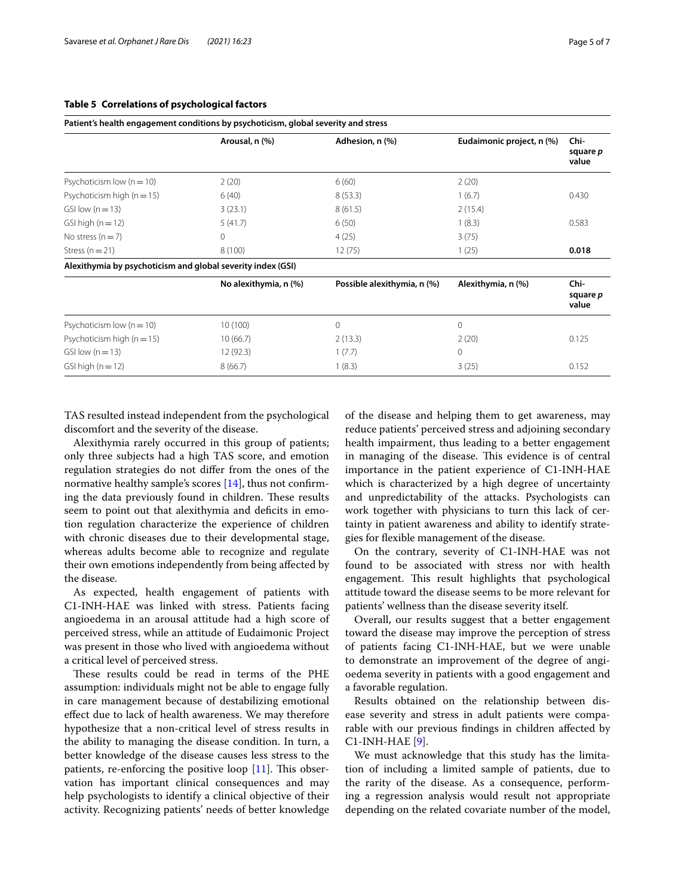|                                                             | Arousal, n (%)        | Adhesion, n (%)             | Eudaimonic project, n (%) | Chi-<br>square p<br>value |
|-------------------------------------------------------------|-----------------------|-----------------------------|---------------------------|---------------------------|
| Psychoticism low $(n = 10)$                                 | 2(20)                 | 6(60)                       | 2(20)                     |                           |
| Psychoticism high $(n = 15)$                                | 6(40)                 | 8(53.3)                     | 1(6.7)                    | 0.430                     |
| GSI low $(n=13)$                                            | 3(23.1)               | 8(61.5)                     | 2(15.4)                   |                           |
| GSI high $(n=12)$                                           | 5(41.7)               | 6(50)                       | 1(8.3)                    | 0.583                     |
| No stress $(n=7)$                                           | $\mathbf{0}$          | 4(25)                       | 3(75)                     |                           |
| Stress $(n=21)$                                             | 8(100)                | 12(75)                      | 1(25)                     | 0.018                     |
| Alexithymia by psychoticism and global severity index (GSI) |                       |                             |                           |                           |
|                                                             | No alexithymia, n (%) | Possible alexithymia, n (%) | Alexithymia, n (%)        | Chi-<br>square p<br>value |
| Psychoticism low $(n = 10)$                                 | 10(100)               | $\mathbf{0}$                | $\mathbf{0}$              |                           |
| Psychoticism high $(n = 15)$                                | 10(66.7)              | 2(13.3)                     | 2(20)                     | 0.125                     |
| GSI low $(n=13)$                                            | 12(92.3)              | 1(7.7)                      | $\circ$                   |                           |
| $GSI$ high ( $n = 12$ )                                     | 8(66.7)               | 1(8.3)                      | 3(25)                     | 0.152                     |

#### <span id="page-4-0"></span>**Table 5 Correlations of psychological factors**

**Patient's health engagement conditions by psychoticism, global severity and stress**

TAS resulted instead independent from the psychological discomfort and the severity of the disease.

Alexithymia rarely occurred in this group of patients; only three subjects had a high TAS score, and emotion regulation strategies do not difer from the ones of the normative healthy sample's scores [[14](#page-5-12)], thus not confirming the data previously found in children. These results seem to point out that alexithymia and deficits in emotion regulation characterize the experience of children with chronic diseases due to their developmental stage, whereas adults become able to recognize and regulate their own emotions independently from being afected by the disease.

As expected, health engagement of patients with C1-INH-HAE was linked with stress. Patients facing angioedema in an arousal attitude had a high score of perceived stress, while an attitude of Eudaimonic Project was present in those who lived with angioedema without a critical level of perceived stress.

These results could be read in terms of the PHE assumption: individuals might not be able to engage fully in care management because of destabilizing emotional efect due to lack of health awareness. We may therefore hypothesize that a non-critical level of stress results in the ability to managing the disease condition. In turn, a better knowledge of the disease causes less stress to the patients, re-enforcing the positive loop  $[11]$  $[11]$ . This observation has important clinical consequences and may help psychologists to identify a clinical objective of their activity. Recognizing patients' needs of better knowledge of the disease and helping them to get awareness, may reduce patients' perceived stress and adjoining secondary health impairment, thus leading to a better engagement in managing of the disease. This evidence is of central importance in the patient experience of C1-INH-HAE which is characterized by a high degree of uncertainty and unpredictability of the attacks. Psychologists can work together with physicians to turn this lack of certainty in patient awareness and ability to identify strategies for fexible management of the disease.

On the contrary, severity of C1-INH-HAE was not found to be associated with stress nor with health engagement. This result highlights that psychological attitude toward the disease seems to be more relevant for patients' wellness than the disease severity itself.

Overall, our results suggest that a better engagement toward the disease may improve the perception of stress of patients facing C1-INH-HAE, but we were unable to demonstrate an improvement of the degree of angioedema severity in patients with a good engagement and a favorable regulation.

Results obtained on the relationship between disease severity and stress in adult patients were comparable with our previous fndings in children afected by C1-INH-HAE [[9\]](#page-5-7).

We must acknowledge that this study has the limitation of including a limited sample of patients, due to the rarity of the disease. As a consequence, performing a regression analysis would result not appropriate depending on the related covariate number of the model,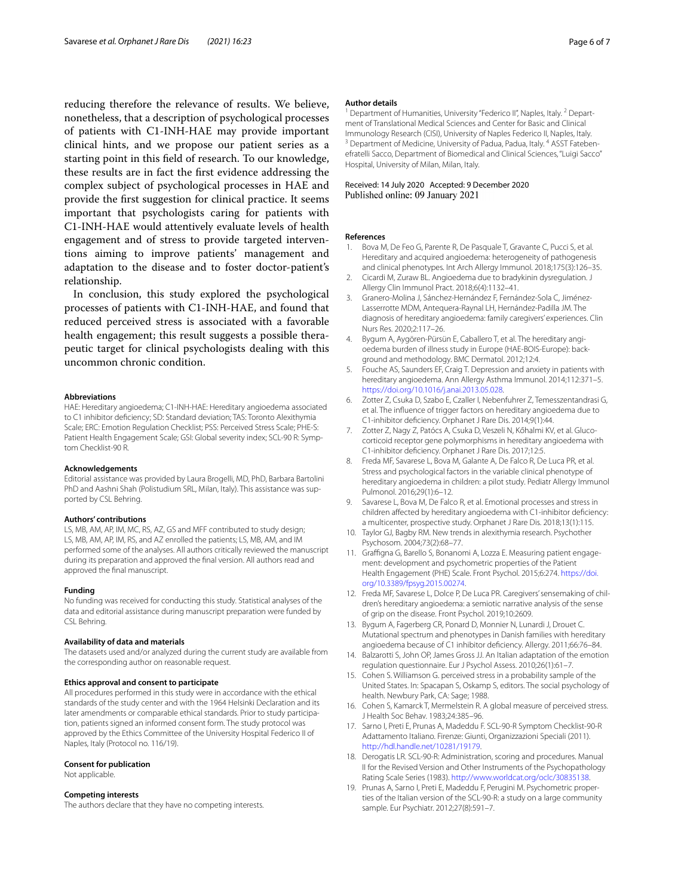reducing therefore the relevance of results. We believe, nonetheless, that a description of psychological processes of patients with C1-INH-HAE may provide important clinical hints, and we propose our patient series as a starting point in this feld of research. To our knowledge, these results are in fact the frst evidence addressing the complex subject of psychological processes in HAE and provide the frst suggestion for clinical practice. It seems important that psychologists caring for patients with C1-INH-HAE would attentively evaluate levels of health engagement and of stress to provide targeted interventions aiming to improve patients' management and adaptation to the disease and to foster doctor-patient's relationship.

In conclusion, this study explored the psychological processes of patients with C1-INH-HAE, and found that reduced perceived stress is associated with a favorable health engagement; this result suggests a possible therapeutic target for clinical psychologists dealing with this uncommon chronic condition.

#### **Abbreviations**

HAE: Hereditary angioedema; C1-INH-HAE: Hereditary angioedema associated to C1 inhibitor defciency; SD: Standard deviation; TAS: Toronto Alexithymia Scale; ERC: Emotion Regulation Checklist; PSS: Perceived Stress Scale; PHE-S: Patient Health Engagement Scale; GSI: Global severity index; SCL-90 R: Symptom Checklist-90 R.

#### **Acknowledgements**

Editorial assistance was provided by Laura Brogelli, MD, PhD, Barbara Bartolini PhD and Aashni Shah (Polistudium SRL, Milan, Italy). This assistance was supported by CSL Behring.

#### **Authors' contributions**

LS, MB, AM, AP, IM, MC, RS, AZ, GS and MFF contributed to study design; LS, MB, AM, AP, IM, RS, and AZ enrolled the patients; LS, MB, AM, and IM performed some of the analyses. All authors critically reviewed the manuscript during its preparation and approved the fnal version. All authors read and approved the fnal manuscript.

#### **Funding**

No funding was received for conducting this study. Statistical analyses of the data and editorial assistance during manuscript preparation were funded by CSL Behring.

#### **Availability of data and materials**

The datasets used and/or analyzed during the current study are available from the corresponding author on reasonable request.

#### **Ethics approval and consent to participate**

All procedures performed in this study were in accordance with the ethical standards of the study center and with the 1964 Helsinki Declaration and its later amendments or comparable ethical standards. Prior to study participation, patients signed an informed consent form. The study protocol was approved by the Ethics Committee of the University Hospital Federico II of Naples, Italy (Protocol no. 116/19).

#### **Consent for publication**

Not applicable.

#### **Competing interests**

The authors declare that they have no competing interests.

#### **Author details**

<sup>1</sup> Department of Humanities, University "Federico II", Naples, Italy. <sup>2</sup> Department of Translational Medical Sciences and Center for Basic and Clinical<br>Immunology Research (CISI), University of Naples Federico II, Naples, Italy. <sup>3</sup> Department of Medicine, University of Padua, Padua, Italy. <sup>4</sup> ASST Fatebenefratelli Sacco, Department of Biomedical and Clinical Sciences, "Luigi Sacco" Hospital, University of Milan, Milan, Italy.

## Received: 14 July 2020 Accepted: 9 December 2020

#### **References**

- <span id="page-5-0"></span>1. Bova M, De Feo G, Parente R, De Pasquale T, Gravante C, Pucci S, et al. Hereditary and acquired angioedema: heterogeneity of pathogenesis and clinical phenotypes. Int Arch Allergy Immunol. 2018;175(3):126–35.
- <span id="page-5-1"></span>2. Cicardi M, Zuraw BL. Angioedema due to bradykinin dysregulation. J Allergy Clin Immunol Pract. 2018;6(4):1132–41.
- <span id="page-5-2"></span>3. Granero-Molina J, Sánchez-Hernández F, Fernández-Sola C, Jiménez-Lasserrotte MDM, Antequera-Raynal LH, Hernández-Padilla JM. The diagnosis of hereditary angioedema: family caregivers' experiences. Clin Nurs Res. 2020;2:117–26.
- <span id="page-5-3"></span>4. Bygum A, Aygören-Pürsün E, Caballero T, et al. The hereditary angioedema burden of illness study in Europe (HAE-BOIS-Europe): background and methodology. BMC Dermatol. 2012;12:4.
- <span id="page-5-4"></span>5. Fouche AS, Saunders EF, Craig T. Depression and anxiety in patients with hereditary angioedema. Ann Allergy Asthma Immunol. 2014;112:371–5. [https://doi.org/10.1016/j.anai.2013.05.028.](https://doi.org/10.1016/j.anai.2013.05.028)
- <span id="page-5-5"></span>6. Zotter Z, Csuka D, Szabo E, Czaller I, Nebenfuhrer Z, Temesszentandrasi G, et al. The infuence of trigger factors on hereditary angioedema due to C1-inhibitor defciency. Orphanet J Rare Dis. 2014;9(1):44.
- 7. Zotter Z, Nagy Z, Patócs A, Csuka D, Veszeli N, Kőhalmi KV, et al. Glucocorticoid receptor gene polymorphisms in hereditary angioedema with C1-inhibitor defciency. Orphanet J Rare Dis. 2017;12:5.
- <span id="page-5-6"></span>8. Freda MF, Savarese L, Bova M, Galante A, De Falco R, De Luca PR, et al. Stress and psychological factors in the variable clinical phenotype of hereditary angioedema in children: a pilot study. Pediatr Allergy Immunol Pulmonol. 2016;29(1):6–12.
- <span id="page-5-7"></span>Savarese L, Bova M, De Falco R, et al. Emotional processes and stress in children afected by hereditary angioedema with C1-inhibitor defciency: a multicenter, prospective study. Orphanet J Rare Dis. 2018;13(1):115.
- <span id="page-5-8"></span>10. Taylor GJ, Bagby RM. New trends in alexithymia research. Psychother Psychosom. 2004;73(2):68–77.
- <span id="page-5-9"></span>11. Graffigna G, Barello S, Bonanomi A, Lozza E. Measuring patient engagement: development and psychometric properties of the Patient Health Engagement (PHE) Scale. Front Psychol. 2015;6:274. [https://doi.](https://doi.org/10.3389/fpsyg.2015.00274) [org/10.3389/fpsyg.2015.00274](https://doi.org/10.3389/fpsyg.2015.00274).
- <span id="page-5-10"></span>12. Freda MF, Savarese L, Dolce P, De Luca PR. Caregivers' sensemaking of children's hereditary angioedema: a semiotic narrative analysis of the sense of grip on the disease. Front Psychol. 2019;10:2609.
- <span id="page-5-11"></span>13. Bygum A, Fagerberg CR, Ponard D, Monnier N, Lunardi J, Drouet C. Mutational spectrum and phenotypes in Danish families with hereditary angioedema because of C1 inhibitor defciency. Allergy. 2011;66:76–84.
- <span id="page-5-12"></span>14. Balzarotti S, John OP, James Gross JJ. An Italian adaptation of the emotion regulation questionnaire. Eur J Psychol Assess. 2010;26(1):61–7.
- <span id="page-5-13"></span>15. Cohen S. Williamson G. perceived stress in a probability sample of the United States. In: Spacapan S, Oskamp S, editors. The social psychology of health. Newbury Park, CA: Sage; 1988.
- <span id="page-5-14"></span>16. Cohen S, Kamarck T, Mermelstein R. A global measure of perceived stress. J Health Soc Behav. 1983;24:385–96.
- <span id="page-5-15"></span>17. Sarno I, Preti E, Prunas A, Madeddu F. SCL-90-R Symptom Checklist-90-R Adattamento Italiano. Firenze: Giunti, Organizzazioni Speciali (2011). [http://hdl.handle.net/10281/19179.](http://hdl.handle.net/10281/19179)
- <span id="page-5-16"></span>18. Derogatis LR. SCL-90-R: Administration, scoring and procedures. Manual II for the Revised Version and Other Instruments of the Psychopathology Rating Scale Series (1983). [http://www.worldcat.org/oclc/30835138.](http://www.worldcat.org/oclc/30835138)
- <span id="page-5-17"></span>19. Prunas A, Sarno I, Preti E, Madeddu F, Perugini M. Psychometric properties of the Italian version of the SCL-90-R: a study on a large community sample. Eur Psychiatr. 2012;27(8):591–7.